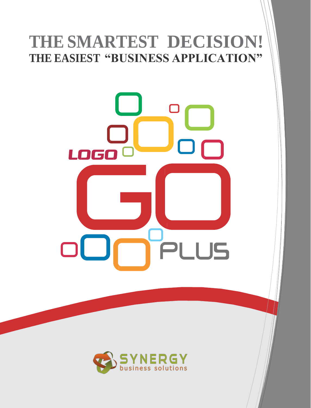## **THE SMARTEST DECISION! THE EASIEST "BUSINESS APPLICATION"**



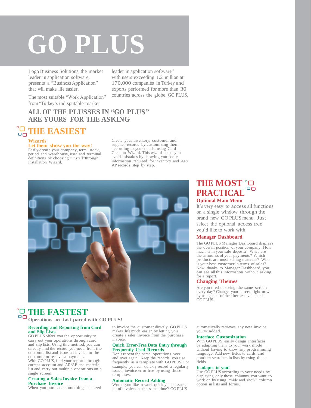# **GO PLUS**

Logo Business Solutions, the market leader in application software, presents a "Business Application" that will make life easier.

leader in application software" with users exceeding 1.2 million at 170,000 companies in Turkey and exports performed for more than 30 countries across the globe. GO PLUS.

The most suitable "Work Application" from "Turkey's indisputable market

#### **ALL OF THE PLUSSES IN "GO PLUS" ARE YOURS FOR THE ASKING**

## **THE EASIEST**

#### **Wizards**

#### **Let them show you the way!**

Easily create your company, term, stock, period and warehouse, user and terminal definitions by choosing "install"through Installation Wizard.

Create your inventory, customer and supplier records by customizing them according to your needs, using Card Creation Wizard. This wizard helps you avoid mistakes by showing you basic information required for inventory and AR/ AP records step by step.



### **THE FASTEST**

**Operations are fast-paced with GO PLUS!**

#### **Recording and Reporting from Card and Slip Lists**

GO PLUS offers you the opportunity to carry out your operations through card and slip lists. Using this method, you can directly find the record you need from the customer list and issue an invoice to the customer or receive a payment.

With GO PLUS, find your reports through current account and AR/AP and material list and carry out multiple operations on a single screen.

#### **Creating a Sales Invoice from a Purchase Invoice**

When you purchase something and need

to invoice the customer directly, GO PLUS makes life much easier by letting you create a sales invoice from the purchase invoice.

#### **Quick, Error-Free Data Entry through Frequently Used Records**

Don't repeat the same operations over and over again. Keep the records you use frequently as a template with GO PLUS. For example, you can quickly record a regularly issued invoice error-free by using these templates.

#### **Automatic Record Adding**

Would you like to work quickly and issue a lot of invoices at the same time? GO PLUS

#### **THE MOST PRACTICAL** <sup>o</sup> **Optional Main Menu**

It's very easy to access all functions on a single window through the brand new GO PLUS menu. Just select the optional access tree you'd like to work with.

#### **Manager Dashboard**

The GO PLUS Manager Dashboard displays the overall position of your company. How much is in your safe deposit? What are the amounts of your payments? Which products are most selling materials? Who is your best customer in terms of sales? Now, thanks to Manager Dashboard, you can see all this information without asking for a report.

#### **Changing Themes**

Are you tired of seeing the same screen every day? Change your screen right now by using one of the themes available in GO PLUS.

automatically retrieves any new invoice you've added.

#### **Interface Customization**

With GO PLUS, easily design interfaces by adapting them to your work mode without having to know any programming language. Add new fields to cards and conduct searches in lists by using these fields.

#### **It adapts to you!**

Use GO PLUS according to your needs by displaying only those columns you want to work on by using "hide and show" column option in lists and forms.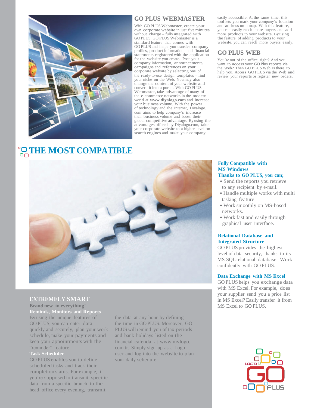

#### **GO PLUS WEBMASTER**

With GO PLUS Webmaster, create your own corporate website in just five minutes without charge – fully integrated with GO PLUS. GO PLUS Webmaster is a standard feature that comes with GO PLUS and helps you transfer company profiles, product information, and financial statements registered with the application for the website you create. Post your company information, announcements, campaigns and references on your corporate website by selecting one of the ready-to-use design templates – find your niche on the Web. You may also change the content of your website and convert it into a portal. With GO PLUS Webmaster, take advantage of many of the e-commerce networks in the modern world at **[www.diyalogo.com](http://www.diyalogo.com/)** and increase your business volume. With the power of technology and the Internet, Diyalogo. com aims to help company's increase their business volume and boost their global competitive advantage. By using the advantages offered by Diyalogo.com, take your corporate website to a higher level on search engines and make your company

## **THE MOST COMPATIBLE**



#### **EXTREMELY SMART**

**Brand new in everything! Reminds, Monitors and Reports**  By using the unique features of GO PLUS, you can enter data quickly and securely, plan your work schedule, make your payments and keep your appointments with the "reminder" feature.

#### **Task Scheduler**

GO PLUS enables you to define scheduled tasks and track their completion status. For example, if you're supposed to transmit specific data from a specific branch to the head office every evening, transmit

the data at any hour by defining the time in GO PLUS. Moreover, GO PLUS will remind you of tax periods and bank holidays listed on the financial calendar at [www.mylogo.](http://www.mylogo/) com.tr. Simply sign up as a Logo user and log into the website to plan your daily schedule.

easily accessible. At the same time, this tool lets you mark your company's location and address on a map. With this feature, you can easily reach more buyers and add more products to your website. By using the feature of adding products to your website, you can reach more buyers easily.

#### **GO PLUS WEB**

You're out of the office, right? And you want to access your GO Plus reports via the Web? Then GO PLUS Web is there to help you. Access GO PLUS via the Web and review your reports or register new orders.

#### **Fully Compatible with MS Windows Thanks to GO PLUS, you can;**

- Send the reports you retrieve to any recipient by e-mail.
- •Handle multiple works with multi tasking feature
- •Work smoothly on MS-based networks.
- •Work fast and easily through graphical user interface.

#### **Relational Database and Integrated Structure**

GO PLUS provides the highest level of data security, thanks to its MS SQLrelational database. Work confidently with GO PLUS.

#### **Data Exchange with MS Excel**

GO PLUS helps you exchange data with MS Excel. For example, does your supplier send you a price list in MS Excel? Easily transfer it from MS Excel to GO PLUS.